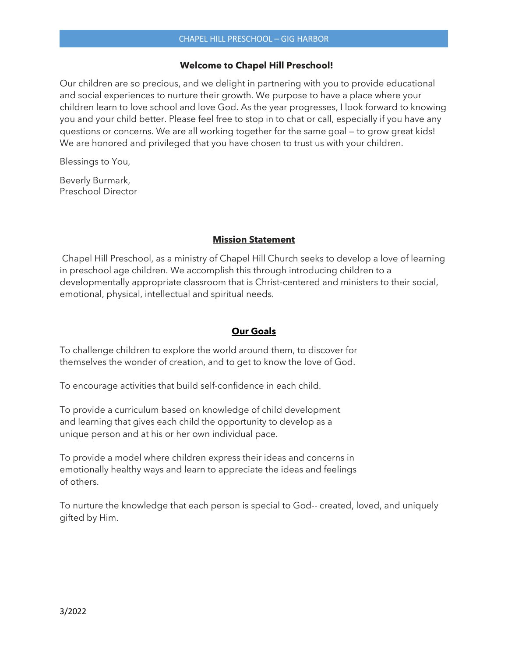#### **Welcome to Chapel Hill Preschool!**

Our children are so precious, and we delight in partnering with you to provide educational and social experiences to nurture their growth. We purpose to have a place where your children learn to love school and love God. As the year progresses, I look forward to knowing you and your child better. Please feel free to stop in to chat or call, especially if you have any questions or concerns. We are all working together for the same goal — to grow great kids! We are honored and privileged that you have chosen to trust us with your children.

Blessings to You,

Beverly Burmark, Preschool Director

## **Mission Statement**

Chapel Hill Preschool, as a ministry of Chapel Hill Church seeks to develop a love of learning in preschool age children. We accomplish this through introducing children to a developmentally appropriate classroom that is Christ-centered and ministers to their social, emotional, physical, intellectual and spiritual needs.

## **Our Goals**

To challenge children to explore the world around them, to discover for themselves the wonder of creation, and to get to know the love of God.

To encourage activities that build self-confidence in each child.

To provide a curriculum based on knowledge of child development and learning that gives each child the opportunity to develop as a unique person and at his or her own individual pace.

To provide a model where children express their ideas and concerns in emotionally healthy ways and learn to appreciate the ideas and feelings of others.

To nurture the knowledge that each person is special to God-- created, loved, and uniquely gifted by Him.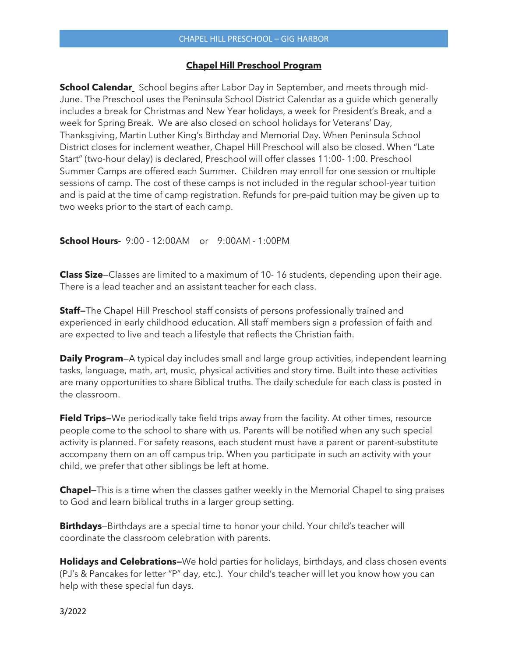#### **Chapel Hill Preschool Program**

**School Calendar** School begins after Labor Day in September, and meets through mid-June. The Preschool uses the Peninsula School District Calendar as a guide which generally includes a break for Christmas and New Year holidays, a week for President's Break, and a week for Spring Break. We are also closed on school holidays for Veterans' Day, Thanksgiving, Martin Luther King's Birthday and Memorial Day. When Peninsula School District closes for inclement weather, Chapel Hill Preschool will also be closed. When "Late Start" (two-hour delay) is declared, Preschool will offer classes 11:00- 1:00. Preschool Summer Camps are offered each Summer. Children may enroll for one session or multiple sessions of camp. The cost of these camps is not included in the regular school-year tuition and is paid at the time of camp registration. Refunds for pre-paid tuition may be given up to two weeks prior to the start of each camp.

**School Hours-** 9:00 - 12:00AM or 9:00AM - 1:00PM

**Class Size**—Classes are limited to a maximum of 10- 16 students, depending upon their age. There is a lead teacher and an assistant teacher for each class.

**Staff—**The Chapel Hill Preschool staff consists of persons professionally trained and experienced in early childhood education. All staff members sign a profession of faith and are expected to live and teach a lifestyle that reflects the Christian faith.

**Daily Program**—A typical day includes small and large group activities, independent learning tasks, language, math, art, music, physical activities and story time. Built into these activities are many opportunities to share Biblical truths. The daily schedule for each class is posted in the classroom.

**Field Trips-**We periodically take field trips away from the facility. At other times, resource people come to the school to share with us. Parents will be notified when any such special activity is planned. For safety reasons, each student must have a parent or parent-substitute accompany them on an off campus trip. When you participate in such an activity with your child, we prefer that other siblings be left at home.

**Chapel—**This is a time when the classes gather weekly in the Memorial Chapel to sing praises to God and learn biblical truths in a larger group setting.

**Birthdays**—Birthdays are a special time to honor your child. Your child's teacher will coordinate the classroom celebration with parents.

**Holidays and Celebrations—**We hold parties for holidays, birthdays, and class chosen events (PJ's & Pancakes for letter "P" day, etc.). Your child's teacher will let you know how you can help with these special fun days.

3/2022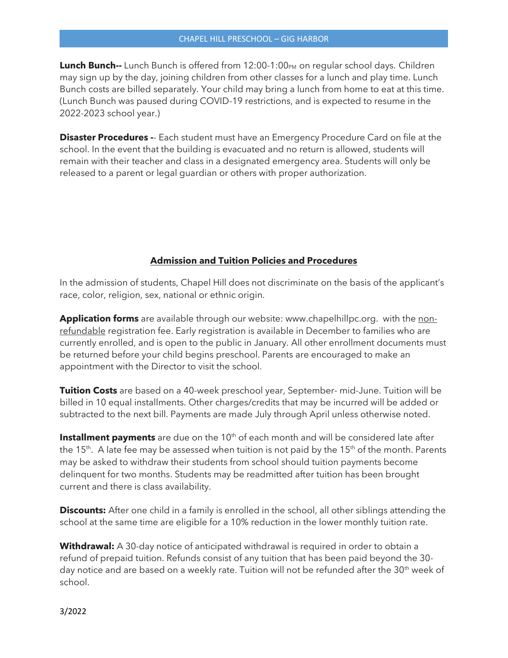**Lunch Bunch--** Lunch Bunch is offered from 12:00-1:00<sub>PM</sub> on regular school days. Children may sign up by the day, joining children from other classes for a lunch and play time. Lunch Bunch costs are billed separately. Your child may bring a lunch from home to eat at this time. (Lunch Bunch was paused during COVID-19 restrictions, and is expected to resume in the 2022-2023 school year.)

**Disaster Procedures -**- Each student must have an Emergency Procedure Card on file at the school. In the event that the building is evacuated and no return is allowed, students will remain with their teacher and class in a designated emergency area. Students will only be released to a parent or legal guardian or others with proper authorization.

## **Admission and Tuition Policies and Procedures**

In the admission of students, Chapel Hill does not discriminate on the basis of the applicant's race, color, religion, sex, national or ethnic origin.

**Application forms** are available through our website: www.chapelhillpc.org. with the nonrefundable registration fee. Early registration is available in December to families who are currently enrolled, and is open to the public in January. All other enrollment documents must be returned before your child begins preschool. Parents are encouraged to make an appointment with the Director to visit the school.

**Tuition Costs** are based on a 40-week preschool year, September- mid-June. Tuition will be billed in 10 equal installments. Other charges/credits that may be incurred will be added or subtracted to the next bill. Payments are made July through April unless otherwise noted.

**Installment payments** are due on the 10<sup>th</sup> of each month and will be considered late after the 15<sup>th</sup>. A late fee may be assessed when tuition is not paid by the 15<sup>th</sup> of the month. Parents may be asked to withdraw their students from school should tuition payments become delinquent for two months. Students may be readmitted after tuition has been brought current and there is class availability.

**Discounts:** After one child in a family is enrolled in the school, all other siblings attending the school at the same time are eligible for a 10% reduction in the lower monthly tuition rate.

**Withdrawal:** A 30-day notice of anticipated withdrawal is required in order to obtain a refund of prepaid tuition. Refunds consist of any tuition that has been paid beyond the 30 day notice and are based on a weekly rate. Tuition will not be refunded after the 30<sup>th</sup> week of school.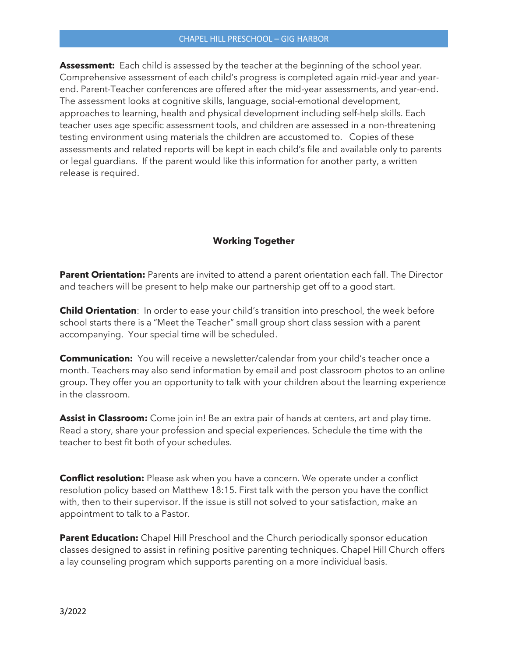#### CHAPEL HILL PRESCHOOL – GIG HARBOR

**Assessment:** Each child is assessed by the teacher at the beginning of the school year. Comprehensive assessment of each child's progress is completed again mid-year and yearend. Parent-Teacher conferences are offered after the mid-year assessments, and year-end. The assessment looks at cognitive skills, language, social-emotional development, approaches to learning, health and physical development including self-help skills. Each teacher uses age specific assessment tools, and children are assessed in a non-threatening testing environment using materials the children are accustomed to. Copies of these assessments and related reports will be kept in each child's file and available only to parents or legal guardians. If the parent would like this information for another party, a written release is required.

# **Working Together**

**Parent Orientation:** Parents are invited to attend a parent orientation each fall. The Director and teachers will be present to help make our partnership get off to a good start.

**Child Orientation**: In order to ease your child's transition into preschool, the week before school starts there is a "Meet the Teacher" small group short class session with a parent accompanying. Your special time will be scheduled.

**Communication:** You will receive a newsletter/calendar from your child's teacher once a month. Teachers may also send information by email and post classroom photos to an online group. They offer you an opportunity to talk with your children about the learning experience in the classroom.

**Assist in Classroom:** Come join in! Be an extra pair of hands at centers, art and play time. Read a story, share your profession and special experiences. Schedule the time with the teacher to best fit both of your schedules.

**Conflict resolution:** Please ask when you have a concern. We operate under a conflict resolution policy based on Matthew 18:15. First talk with the person you have the conflict with, then to their supervisor. If the issue is still not solved to your satisfaction, make an appointment to talk to a Pastor.

**Parent Education:** Chapel Hill Preschool and the Church periodically sponsor education classes designed to assist in refining positive parenting techniques. Chapel Hill Church offers a lay counseling program which supports parenting on a more individual basis.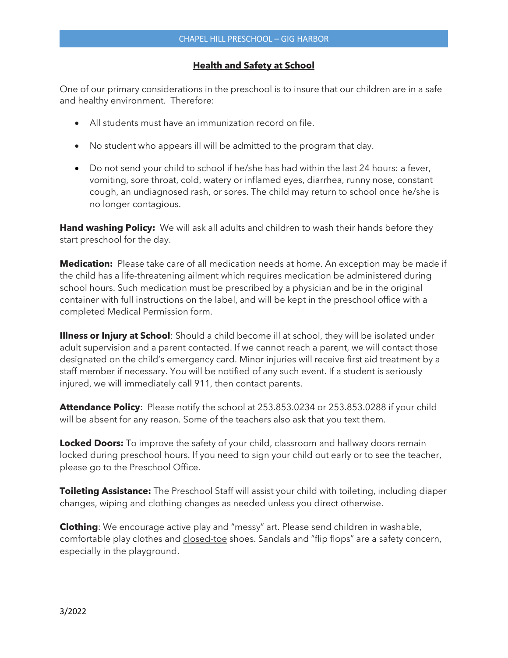## **Health and Safety at School**

One of our primary considerations in the preschool is to insure that our children are in a safe and healthy environment. Therefore:

- All students must have an immunization record on file.
- No student who appears ill will be admitted to the program that day.
- Do not send your child to school if he/she has had within the last 24 hours: a fever, vomiting, sore throat, cold, watery or inflamed eyes, diarrhea, runny nose, constant cough, an undiagnosed rash, or sores. The child may return to school once he/she is no longer contagious.

**Hand washing Policy:** We will ask all adults and children to wash their hands before they start preschool for the day.

**Medication:** Please take care of all medication needs at home. An exception may be made if the child has a life-threatening ailment which requires medication be administered during school hours. Such medication must be prescribed by a physician and be in the original container with full instructions on the label, and will be kept in the preschool office with a completed Medical Permission form.

**Illness or Injury at School**: Should a child become ill at school, they will be isolated under adult supervision and a parent contacted. If we cannot reach a parent, we will contact those designated on the child's emergency card. Minor injuries will receive first aid treatment by a staff member if necessary. You will be notified of any such event. If a student is seriously injured, we will immediately call 911, then contact parents.

**Attendance Policy**: Please notify the school at 253.853.0234 or 253.853.0288 if your child will be absent for any reason. Some of the teachers also ask that you text them.

**Locked Doors:** To improve the safety of your child, classroom and hallway doors remain locked during preschool hours. If you need to sign your child out early or to see the teacher, please go to the Preschool Office.

**Toileting Assistance:** The Preschool Staff will assist your child with toileting, including diaper changes, wiping and clothing changes as needed unless you direct otherwise.

**Clothing**: We encourage active play and "messy" art. Please send children in washable, comfortable play clothes and closed-toe shoes. Sandals and "flip flops" are a safety concern, especially in the playground.